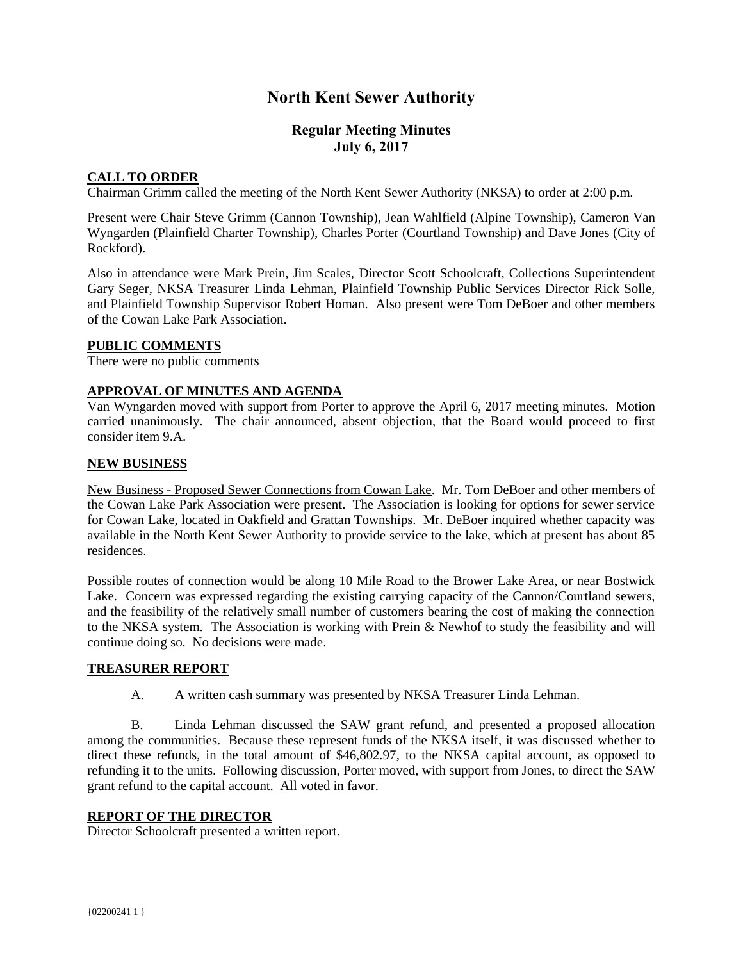# **North Kent Sewer Authority**

# **Regular Meeting Minutes July 6, 2017**

# **CALL TO ORDER**

Chairman Grimm called the meeting of the North Kent Sewer Authority (NKSA) to order at 2:00 p.m.

Present were Chair Steve Grimm (Cannon Township), Jean Wahlfield (Alpine Township), Cameron Van Wyngarden (Plainfield Charter Township), Charles Porter (Courtland Township) and Dave Jones (City of Rockford).

Also in attendance were Mark Prein, Jim Scales, Director Scott Schoolcraft, Collections Superintendent Gary Seger, NKSA Treasurer Linda Lehman, Plainfield Township Public Services Director Rick Solle, and Plainfield Township Supervisor Robert Homan. Also present were Tom DeBoer and other members of the Cowan Lake Park Association.

## **PUBLIC COMMENTS**

There were no public comments

# **APPROVAL OF MINUTES AND AGENDA**

Van Wyngarden moved with support from Porter to approve the April 6, 2017 meeting minutes. Motion carried unanimously. The chair announced, absent objection, that the Board would proceed to first consider item 9.A.

## **NEW BUSINESS**

New Business - Proposed Sewer Connections from Cowan Lake. Mr. Tom DeBoer and other members of the Cowan Lake Park Association were present. The Association is looking for options for sewer service for Cowan Lake, located in Oakfield and Grattan Townships. Mr. DeBoer inquired whether capacity was available in the North Kent Sewer Authority to provide service to the lake, which at present has about 85 residences.

Possible routes of connection would be along 10 Mile Road to the Brower Lake Area, or near Bostwick Lake. Concern was expressed regarding the existing carrying capacity of the Cannon/Courtland sewers, and the feasibility of the relatively small number of customers bearing the cost of making the connection to the NKSA system. The Association is working with Prein & Newhof to study the feasibility and will continue doing so. No decisions were made.

#### **TREASURER REPORT**

A. A written cash summary was presented by NKSA Treasurer Linda Lehman.

B. Linda Lehman discussed the SAW grant refund, and presented a proposed allocation among the communities. Because these represent funds of the NKSA itself, it was discussed whether to direct these refunds, in the total amount of \$46,802.97, to the NKSA capital account, as opposed to refunding it to the units. Following discussion, Porter moved, with support from Jones, to direct the SAW grant refund to the capital account. All voted in favor.

# **REPORT OF THE DIRECTOR**

Director Schoolcraft presented a written report.